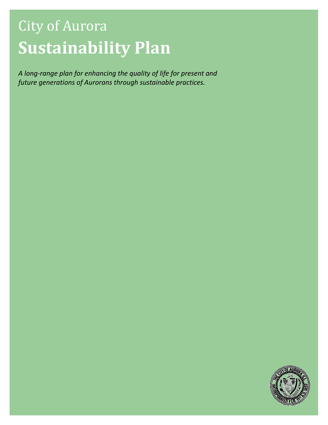# City of Aurora Sustainability Plan

A long-range plan for enhancing the quality of life for present and future generations of Aurorans through sustainable practices.

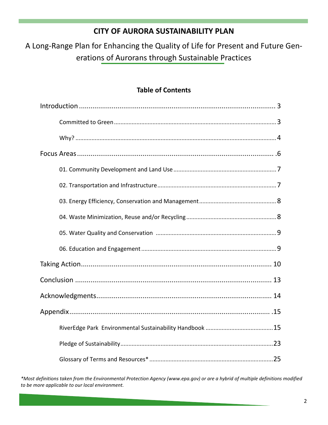## CITY OF AURORA SUSTAINABILITY PLAN

A Long-Range Plan for Enhancing the Quality of Life for Present and Future Generations of Aurorans through Sustainable Practices

## Table of Contents

\*Most definitions taken from the Environmental Protection Agency (www.epa.gov) or are a hybrid of multiple definitions modified to be more applicable to our local environment.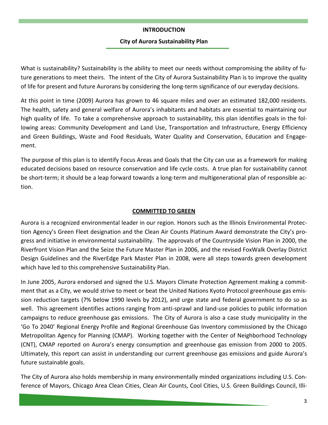## INTRODUCTION

## City of Aurora Sustainability Plan

What is sustainability? Sustainability is the ability to meet our needs without compromising the ability of future generations to meet theirs. The intent of the City of Aurora Sustainability Plan is to improve the quality of life for present and future Aurorans by considering the long-term significance of our everyday decisions.

At this point in time (2009) Aurora has grown to 46 square miles and over an estimated 182,000 residents. The health, safety and general welfare of Aurora's inhabitants and habitats are essential to maintaining our high quality of life. To take a comprehensive approach to sustainability, this plan identifies goals in the following areas: Community Development and Land Use, Transportation and Infrastructure, Energy Efficiency and Green Buildings, Waste and Food Residuals, Water Quality and Conservation, Education and Engagement.

The purpose of this plan is to identify Focus Areas and Goals that the City can use as a framework for making educated decisions based on resource conservation and life cycle costs. A true plan for sustainability cannot be short-term; it should be a leap forward towards a long-term and multigenerational plan of responsible action.

## COMMITTED TO GREEN

Aurora is a recognized environmental leader in our region. Honors such as the Illinois Environmental Protection Agency's Green Fleet designation and the Clean Air Counts Platinum Award demonstrate the City's progress and initiative in environmental sustainability. The approvals of the Countryside Vision Plan in 2000, the Riverfront Vision Plan and the Seize the Future Master Plan in 2006, and the revised FoxWalk Overlay District Design Guidelines and the RiverEdge Park Master Plan in 2008, were all steps towards green development which have led to this comprehensive Sustainability Plan.

In June 2005, Aurora endorsed and signed the U.S. Mayors Climate Protection Agreement making a commitment that as a City, we would strive to meet or beat the United Nations Kyoto Protocol greenhouse gas emission reduction targets (7% below 1990 levels by 2012), and urge state and federal government to do so as well. This agreement identifies actions ranging from anti-sprawl and land-use policies to public information campaigns to reduce greenhouse gas emissions. The City of Aurora is also a case study municipality in the 'Go To 2040' Regional Energy Profile and Regional Greenhouse Gas Inventory commissioned by the Chicago Metropolitan Agency for Planning (CMAP). Working together with the Center of Neighborhood Technology (CNT), CMAP reported on Aurora's energy consumption and greenhouse gas emission from 2000 to 2005. Ultimately, this report can assist in understanding our current greenhouse gas emissions and guide Aurora's future sustainable goals.

The City of Aurora also holds membership in many environmentally minded organizations including U.S. Conference of Mayors, Chicago Area Clean Cities, Clean Air Counts, Cool Cities, U.S. Green Buildings Council, Illi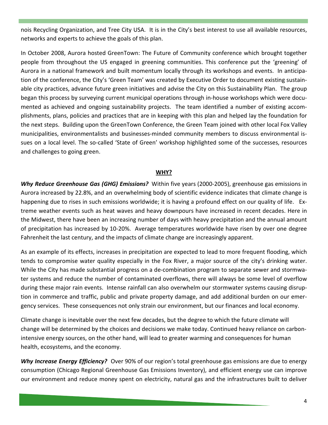nois Recycling Organization, and Tree City USA. It is in the City's best interest to use all available resources, networks and experts to achieve the goals of this plan.

In October 2008, Aurora hosted GreenTown: The Future of Community conference which brought together people from throughout the US engaged in greening communities. This conference put the 'greening' of Aurora in a national framework and built momentum locally through its workshops and events. In anticipation of the conference, the City's 'Green Team' was created by Executive Order to document existing sustainable city practices, advance future green initiatives and advise the City on this Sustainability Plan. The group began this process by surveying current municipal operations through in-house workshops which were documented as achieved and ongoing sustainability projects. The team identified a number of existing accomplishments, plans, policies and practices that are in keeping with this plan and helped lay the foundation for the next steps. Building upon the GreenTown Conference, the Green Team joined with other local Fox Valley municipalities, environmentalists and businesses-minded community members to discuss environmental issues on a local level. The so-called 'State of Green' workshop highlighted some of the successes, resources and challenges to going green.

## WHY?

Why Reduce Greenhouse Gas (GHG) Emissions? Within five years (2000-2005), greenhouse gas emissions in Aurora increased by 22.8%, and an overwhelming body of scientific evidence indicates that climate change is happening due to rises in such emissions worldwide; it is having a profound effect on our quality of life. Extreme weather events such as heat waves and heavy downpours have increased in recent decades. Here in the Midwest, there have been an increasing number of days with heavy precipitation and the annual amount of precipitation has increased by 10-20%. Average temperatures worldwide have risen by over one degree Fahrenheit the last century, and the impacts of climate change are increasingly apparent.

As an example of its effects, increases in precipitation are expected to lead to more frequent flooding, which tends to compromise water quality especially in the Fox River, a major source of the city's drinking water. While the City has made substantial progress on a de-combination program to separate sewer and stormwater systems and reduce the number of contaminated overflows, there will always be some level of overflow during these major rain events. Intense rainfall can also overwhelm our stormwater systems causing disruption in commerce and traffic, public and private property damage, and add additional burden on our emergency services. These consequences not only strain our environment, but our finances and local economy.

Climate change is inevitable over the next few decades, but the degree to which the future climate will change will be determined by the choices and decisions we make today. Continued heavy reliance on carbonintensive energy sources, on the other hand, will lead to greater warming and consequences for human health, ecosystems, and the economy.

Why Increase Energy Efficiency? Over 90% of our region's total greenhouse gas emissions are due to energy consumption (Chicago Regional Greenhouse Gas Emissions Inventory), and efficient energy use can improve our environment and reduce money spent on electricity, natural gas and the infrastructures built to deliver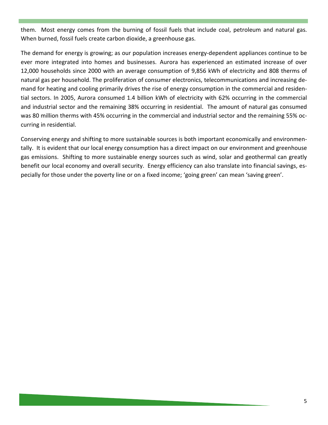them. Most energy comes from the burning of fossil fuels that include coal, petroleum and natural gas. When burned, fossil fuels create carbon dioxide, a greenhouse gas.

The demand for energy is growing; as our population increases energy-dependent appliances continue to be ever more integrated into homes and businesses. Aurora has experienced an estimated increase of over 12,000 households since 2000 with an average consumption of 9,856 kWh of electricity and 808 therms of natural gas per household. The proliferation of consumer electronics, telecommunications and increasing demand for heating and cooling primarily drives the rise of energy consumption in the commercial and residential sectors. In 2005, Aurora consumed 1.4 billion kWh of electricity with 62% occurring in the commercial and industrial sector and the remaining 38% occurring in residential. The amount of natural gas consumed was 80 million therms with 45% occurring in the commercial and industrial sector and the remaining 55% occurring in residential.

Conserving energy and shifting to more sustainable sources is both important economically and environmentally. It is evident that our local energy consumption has a direct impact on our environment and greenhouse gas emissions. Shifting to more sustainable energy sources such as wind, solar and geothermal can greatly benefit our local economy and overall security. Energy efficiency can also translate into financial savings, especially for those under the poverty line or on a fixed income; 'going green' can mean 'saving green'.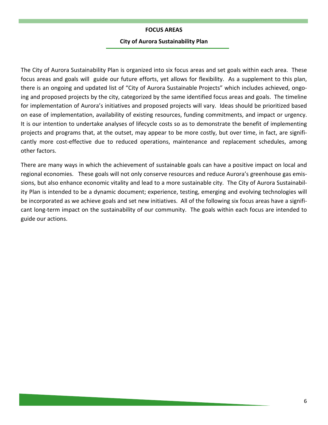#### FOCUS AREAS

#### City of Aurora Sustainability Plan

The City of Aurora Sustainability Plan is organized into six focus areas and set goals within each area. These focus areas and goals will guide our future efforts, yet allows for flexibility. As a supplement to this plan, there is an ongoing and updated list of "City of Aurora Sustainable Projects" which includes achieved, ongoing and proposed projects by the city, categorized by the same identified focus areas and goals. The timeline for implementation of Aurora's initiatives and proposed projects will vary. Ideas should be prioritized based on ease of implementation, availability of existing resources, funding commitments, and impact or urgency. It is our intention to undertake analyses of lifecycle costs so as to demonstrate the benefit of implementing projects and programs that, at the outset, may appear to be more costly, but over time, in fact, are significantly more cost-effective due to reduced operations, maintenance and replacement schedules, among other factors.

There are many ways in which the achievement of sustainable goals can have a positive impact on local and regional economies. These goals will not only conserve resources and reduce Aurora's greenhouse gas emissions, but also enhance economic vitality and lead to a more sustainable city. The City of Aurora Sustainability Plan is intended to be a dynamic document; experience, testing, emerging and evolving technologies will be incorporated as we achieve goals and set new initiatives. All of the following six focus areas have a significant long-term impact on the sustainability of our community. The goals within each focus are intended to guide our actions.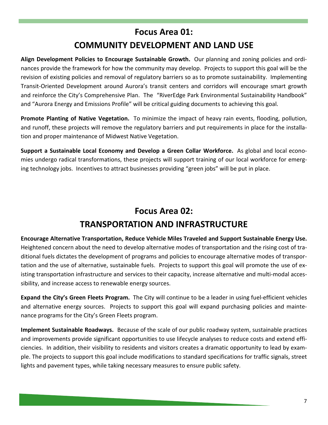## Focus Area 01: COMMUNITY DEVELOPMENT AND LAND USE

Align Development Policies to Encourage Sustainable Growth. Our planning and zoning policies and ordinances provide the framework for how the community may develop. Projects to support this goal will be the revision of existing policies and removal of regulatory barriers so as to promote sustainability. Implementing Transit-Oriented Development around Aurora's transit centers and corridors will encourage smart growth and reinforce the City's Comprehensive Plan. The "RiverEdge Park Environmental Sustainability Handbook" and "Aurora Energy and Emissions Profile" will be critical guiding documents to achieving this goal.

Promote Planting of Native Vegetation. To minimize the impact of heavy rain events, flooding, pollution, and runoff, these projects will remove the regulatory barriers and put requirements in place for the installation and proper maintenance of Midwest Native Vegetation.

Support a Sustainable Local Economy and Develop a Green Collar Workforce. As global and local economies undergo radical transformations, these projects will support training of our local workforce for emerging technology jobs. Incentives to attract businesses providing "green jobs" will be put in place.

# Focus Area 02: TRANSPORTATION AND INFRASTRUCTURE

Encourage Alternative Transportation, Reduce Vehicle Miles Traveled and Support Sustainable Energy Use. Heightened concern about the need to develop alternative modes of transportation and the rising cost of traditional fuels dictates the development of programs and policies to encourage alternative modes of transportation and the use of alternative, sustainable fuels. Projects to support this goal will promote the use of existing transportation infrastructure and services to their capacity, increase alternative and multi-modal accessibility, and increase access to renewable energy sources.

Expand the City's Green Fleets Program. The City will continue to be a leader in using fuel-efficient vehicles and alternative energy sources. Projects to support this goal will expand purchasing policies and maintenance programs for the City's Green Fleets program.

Implement Sustainable Roadways. Because of the scale of our public roadway system, sustainable practices and improvements provide significant opportunities to use lifecycle analyses to reduce costs and extend efficiencies. In addition, their visibility to residents and visitors creates a dramatic opportunity to lead by example. The projects to support this goal include modifications to standard specifications for traffic signals, street lights and pavement types, while taking necessary measures to ensure public safety.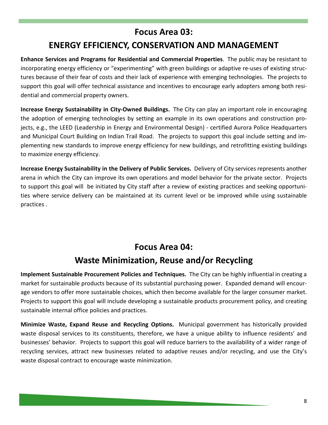## Focus Area 03:

## ENERGY EFFICIENCY, CONSERVATION AND MANAGEMENT

Enhance Services and Programs for Residential and Commercial Properties. The public may be resistant to incorporating energy efficiency or "experimenting" with green buildings or adaptive re-uses of existing structures because of their fear of costs and their lack of experience with emerging technologies. The projects to support this goal will offer technical assistance and incentives to encourage early adopters among both residential and commercial property owners.

Increase Energy Sustainability in City-Owned Buildings. The City can play an important role in encouraging the adoption of emerging technologies by setting an example in its own operations and construction projects, e.g., the LEED (Leadership in Energy and Environmental Design) - certified Aurora Police Headquarters and Municipal Court Building on Indian Trail Road. The projects to support this goal include setting and implementing new standards to improve energy efficiency for new buildings, and retrofitting existing buildings to maximize energy efficiency.

Increase Energy Sustainability in the Delivery of Public Services. Delivery of City services represents another arena in which the City can improve its own operations and model behavior for the private sector. Projects to support this goal will be initiated by City staff after a review of existing practices and seeking opportunities where service delivery can be maintained at its current level or be improved while using sustainable practices .

## Focus Area 04:

## Waste Minimization, Reuse and/or Recycling

Implement Sustainable Procurement Policies and Techniques. The City can be highly influential in creating a market for sustainable products because of its substantial purchasing power. Expanded demand will encourage vendors to offer more sustainable choices, which then become available for the larger consumer market. Projects to support this goal will include developing a sustainable products procurement policy, and creating sustainable internal office policies and practices.

Minimize Waste, Expand Reuse and Recycling Options. Municipal government has historically provided waste disposal services to its constituents, therefore, we have a unique ability to influence residents' and businesses' behavior. Projects to support this goal will reduce barriers to the availability of a wider range of recycling services, attract new businesses related to adaptive reuses and/or recycling, and use the City's waste disposal contract to encourage waste minimization.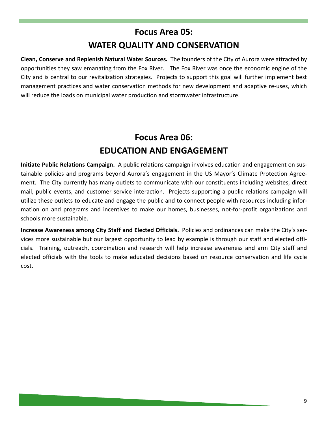# Focus Area 05: WATER QUALITY AND CONSERVATION

Clean, Conserve and Replenish Natural Water Sources. The founders of the City of Aurora were attracted by opportunities they saw emanating from the Fox River. The Fox River was once the economic engine of the City and is central to our revitalization strategies. Projects to support this goal will further implement best management practices and water conservation methods for new development and adaptive re-uses, which will reduce the loads on municipal water production and stormwater infrastructure.

# Focus Area 06: EDUCATION AND ENGAGEMENT

Initiate Public Relations Campaign. A public relations campaign involves education and engagement on sustainable policies and programs beyond Aurora's engagement in the US Mayor's Climate Protection Agreement. The City currently has many outlets to communicate with our constituents including websites, direct mail, public events, and customer service interaction. Projects supporting a public relations campaign will utilize these outlets to educate and engage the public and to connect people with resources including information on and programs and incentives to make our homes, businesses, not-for-profit organizations and schools more sustainable.

Increase Awareness among City Staff and Elected Officials. Policies and ordinances can make the City's services more sustainable but our largest opportunity to lead by example is through our staff and elected officials. Training, outreach, coordination and research will help increase awareness and arm City staff and elected officials with the tools to make educated decisions based on resource conservation and life cycle cost.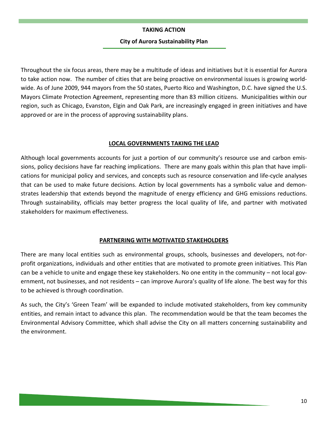### TAKING ACTION

## City of Aurora Sustainability Plan

Throughout the six focus areas, there may be a multitude of ideas and initiatives but it is essential for Aurora to take action now. The number of cities that are being proactive on environmental issues is growing worldwide. As of June 2009, 944 mayors from the 50 states, Puerto Rico and Washington, D.C. have signed the U.S. Mayors Climate Protection Agreement, representing more than 83 million citizens. Municipalities within our region, such as Chicago, Evanston, Elgin and Oak Park, are increasingly engaged in green initiatives and have approved or are in the process of approving sustainability plans.

## LOCAL GOVERNMENTS TAKING THE LEAD

Although local governments accounts for just a portion of our community's resource use and carbon emissions, policy decisions have far reaching implications. There are many goals within this plan that have implications for municipal policy and services, and concepts such as resource conservation and life-cycle analyses that can be used to make future decisions. Action by local governments has a symbolic value and demonstrates leadership that extends beyond the magnitude of energy efficiency and GHG emissions reductions. Through sustainability, officials may better progress the local quality of life, and partner with motivated stakeholders for maximum effectiveness.

#### PARTNERING WITH MOTIVATED STAKEHOLDERS

There are many local entities such as environmental groups, schools, businesses and developers, not-forprofit organizations, individuals and other entities that are motivated to promote green initiatives. This Plan can be a vehicle to unite and engage these key stakeholders. No one entity in the community – not local government, not businesses, and not residents – can improve Aurora's quality of life alone. The best way for this to be achieved is through coordination.

As such, the City's 'Green Team' will be expanded to include motivated stakeholders, from key community entities, and remain intact to advance this plan. The recommendation would be that the team becomes the Environmental Advisory Committee, which shall advise the City on all matters concerning sustainability and the environment.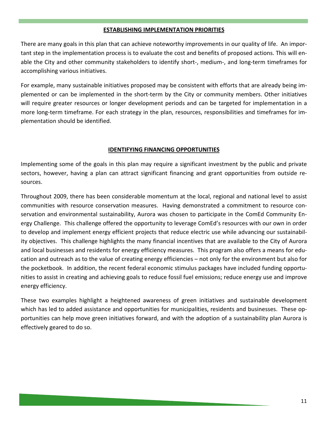### ESTABLISHING IMPLEMENTATION PRIORITIES

There are many goals in this plan that can achieve noteworthy improvements in our quality of life. An important step in the implementation process is to evaluate the cost and benefits of proposed actions. This will enable the City and other community stakeholders to identify short-, medium-, and long-term timeframes for accomplishing various initiatives.

For example, many sustainable initiatives proposed may be consistent with efforts that are already being implemented or can be implemented in the short-term by the City or community members. Other initiatives will require greater resources or longer development periods and can be targeted for implementation in a more long-term timeframe. For each strategy in the plan, resources, responsibilities and timeframes for implementation should be identified.

## IDENTIFYING FINANCING OPPORTUNITIES

Implementing some of the goals in this plan may require a significant investment by the public and private sectors, however, having a plan can attract significant financing and grant opportunities from outside resources.

Throughout 2009, there has been considerable momentum at the local, regional and national level to assist communities with resource conservation measures. Having demonstrated a commitment to resource conservation and environmental sustainability, Aurora was chosen to participate in the ComEd Community Energy Challenge. This challenge offered the opportunity to leverage ComEd's resources with our own in order to develop and implement energy efficient projects that reduce electric use while advancing our sustainability objectives. This challenge highlights the many financial incentives that are available to the City of Aurora and local businesses and residents for energy efficiency measures. This program also offers a means for education and outreach as to the value of creating energy efficiencies – not only for the environment but also for the pocketbook. In addition, the recent federal economic stimulus packages have included funding opportunities to assist in creating and achieving goals to reduce fossil fuel emissions; reduce energy use and improve energy efficiency.

These two examples highlight a heightened awareness of green initiatives and sustainable development which has led to added assistance and opportunities for municipalities, residents and businesses. These opportunities can help move green initiatives forward, and with the adoption of a sustainability plan Aurora is effectively geared to do so.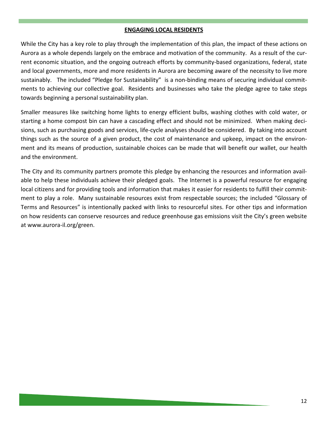## ENGAGING LOCAL RESIDENTS

While the City has a key role to play through the implementation of this plan, the impact of these actions on Aurora as a whole depends largely on the embrace and motivation of the community. As a result of the current economic situation, and the ongoing outreach efforts by community-based organizations, federal, state and local governments, more and more residents in Aurora are becoming aware of the necessity to live more sustainably. The included "Pledge for Sustainability" is a non-binding means of securing individual commitments to achieving our collective goal. Residents and businesses who take the pledge agree to take steps towards beginning a personal sustainability plan.

Smaller measures like switching home lights to energy efficient bulbs, washing clothes with cold water, or starting a home compost bin can have a cascading effect and should not be minimized. When making decisions, such as purchasing goods and services, life-cycle analyses should be considered. By taking into account things such as the source of a given product, the cost of maintenance and upkeep, impact on the environment and its means of production, sustainable choices can be made that will benefit our wallet, our health and the environment.

The City and its community partners promote this pledge by enhancing the resources and information available to help these individuals achieve their pledged goals. The Internet is a powerful resource for engaging local citizens and for providing tools and information that makes it easier for residents to fulfill their commitment to play a role. Many sustainable resources exist from respectable sources; the included "Glossary of Terms and Resources" is intentionally packed with links to resourceful sites. For other tips and information on how residents can conserve resources and reduce greenhouse gas emissions visit the City's green website at www.aurora-il.org/green.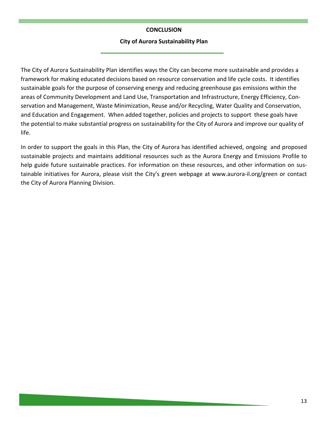## **CONCLUSION**

#### City of Aurora Sustainability Plan

The City of Aurora Sustainability Plan identifies ways the City can become more sustainable and provides a framework for making educated decisions based on resource conservation and life cycle costs. It identifies sustainable goals for the purpose of conserving energy and reducing greenhouse gas emissions within the areas of Community Development and Land Use, Transportation and Infrastructure, Energy Efficiency, Conservation and Management, Waste Minimization, Reuse and/or Recycling, Water Quality and Conservation, and Education and Engagement. When added together, policies and projects to support these goals have the potential to make substantial progress on sustainability for the City of Aurora and improve our quality of life.

In order to support the goals in this Plan, the City of Aurora has identified achieved, ongoing and proposed sustainable projects and maintains additional resources such as the Aurora Energy and Emissions Profile to help guide future sustainable practices. For information on these resources, and other information on sustainable initiatives for Aurora, please visit the City's green webpage at www.aurora-il.org/green or contact the City of Aurora Planning Division.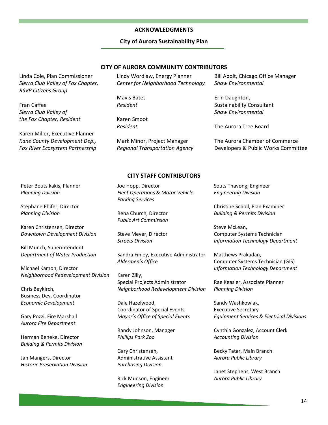#### ACKNOWLEDGMENTS

#### City of Aurora Sustainability Plan

#### CITY OF AURORA COMMUNITY CONTRIBUTORS

Linda Cole, Plan Commissioner Sierra Club Valley of Fox Chapter, RSVP Citizens Group

Fran Caffee Sierra Club Valley of the Fox Chapter, Resident

Karen Miller, Executive Planner Kane County Development Dep., Fox River Ecosystem Partnership Lindy Wordlaw, Energy Planner Center for Neighborhood Technology

Mavis Bates Resident

Karen Smoot Resident

Mark Minor, Project Manager Regional Transportation Agency

Bill Abolt, Chicago Office Manager Shaw Environmental

Erin Daughton, Sustainability Consultant Shaw Environmental

The Aurora Tree Board

The Aurora Chamber of Commerce Developers & Public Works Committee

#### CITY STAFF CONTRIBUTORS

Joe Hopp, Director Fleet Operations & Motor Vehicle Parking Services

Rena Church, Director Public Art Commission

Steve Meyer, Director Streets Division

Sandra Finley, Executive Administrator Aldermen's Office

Karen Zilly, Special Projects Administrator Neighborhood Redevelopment Division

Dale Hazelwood, Coordinator of Special Events Mayor's Office of Special Events

Randy Johnson, Manager Phillips Park Zoo

Gary Christensen, Administrative Assistant Purchasing Division

Rick Munson, Engineer Engineering Division

Souts Thavong, Engineer Engineering Division

Christine Scholl, Plan Examiner Building & Permits Division

Steve McLean, Computer Systems Technician Information Technology Department

Matthews Prakadan, Computer Systems Technician (GIS) Information Technology Department

Rae Keasler, Associate Planner Planning Division

Sandy Washkowiak, Executive Secretary Equipment Services & Electrical Divisions

Cynthia Gonzalez, Account Clerk Accounting Division

Becky Tatar, Main Branch Aurora Public Library

Janet Stephens, West Branch Aurora Public Library

Peter Boutsikakis, Planner Planning Division

Stephane Phifer, Director Planning Division

Karen Christensen, Director Downtown Development Division

Bill Munch, Superintendent Department of Water Production

Michael Kamon, Director Neighborhood Redevelopment Division

Chris Beykirch, Business Dev. Coordinator Economic Development

Gary Pozzi, Fire Marshall Aurora Fire Department

Herman Beneke, Director Building & Permits Division

Jan Mangers, Director Historic Preservation Division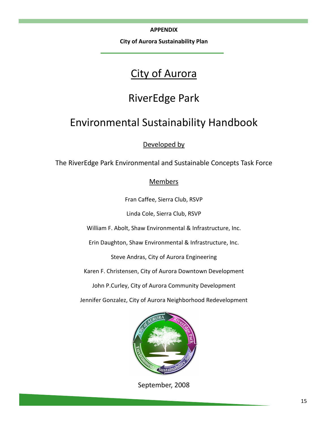APPENDIX

City of Aurora Sustainability Plan

# City of Aurora

# RiverEdge Park

# Environmental Sustainability Handbook

## Developed by

The RiverEdge Park Environmental and Sustainable Concepts Task Force

## **Members**

Fran Caffee, Sierra Club, RSVP

Linda Cole, Sierra Club, RSVP

William F. Abolt, Shaw Environmental & Infrastructure, Inc.

Erin Daughton, Shaw Environmental & Infrastructure, Inc.

Steve Andras, City of Aurora Engineering

Karen F. Christensen, City of Aurora Downtown Development

John P.Curley, City of Aurora Community Development

Jennifer Gonzalez, City of Aurora Neighborhood Redevelopment



September, 2008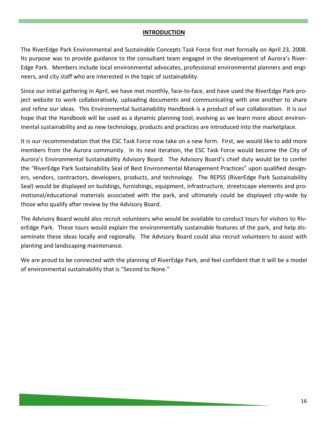## INTRODUCTION

The RiverEdge Park Environmental and Sustainable Concepts Task Force first met formally on April 23, 2008. Its purpose was to provide guidance to the consultant team engaged in the development of Aurora's River-Edge Park. Members include local environmental advocates, professional environmental planners and engineers, and city staff who are interested in the topic of sustainability.

Since our initial gathering in April, we have met monthly, face-to-face, and have used the RiverEdge Park project website to work collaboratively, uploading documents and communicating with one another to share and refine our ideas. This Environmental Sustainability Handbook is a product of our collaboration. It is our hope that the Handbook will be used as a dynamic planning tool, evolving as we learn more about environmental sustainability and as new technology, products and practices are introduced into the marketplace.

It is our recommendation that the ESC Task Force now take on a new form. First, we would like to add more members from the Aurora community. In its next iteration, the ESC Task Force would become the City of Aurora's Environmental Sustainability Advisory Board. The Advisory Board's chief duty would be to confer the "RiverEdge Park Sustainability Seal of Best Environmental Management Practices" upon qualified designers, vendors, contractors, developers, products, and technology. The REPSS (RiverEdge Park Sustainability Seal) would be displayed on buildings, furnishings, equipment, infrastructure, streetscape elements and promotional/educational materials associated with the park, and ultimately could be displayed city-wide by those who qualify after review by the Advisory Board.

The Advisory Board would also recruit volunteers who would be available to conduct tours for visitors to RiverEdge Park. These tours would explain the environmentally sustainable features of the park, and help disseminate these ideas locally and regionally. The Advisory Board could also recruit volunteers to assist with planting and landscaping maintenance.

We are proud to be connected with the planning of RiverEdge Park, and feel confident that it will be a model of environmental sustainability that is "Second to None."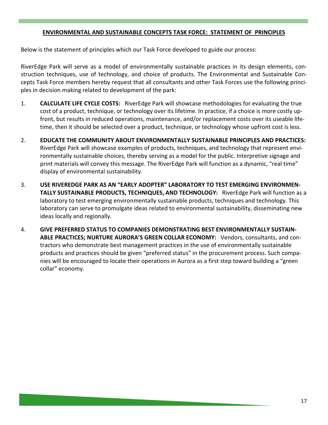## ENVIRONMENTAL AND SUSTAINABLE CONCEPTS TASK FORCE: STATEMENT OF PRINCIPLES

Below is the statement of principles which our Task Force developed to guide our process:

RiverEdge Park will serve as a model of environmentally sustainable practices in its design elements, construction techniques, use of technology, and choice of products. The Environmental and Sustainable Concepts Task Force members hereby request that all consultants and other Task Forces use the following principles in decision making related to development of the park:

- 1. **CALCULATE LIFE CYCLE COSTS:** RiverEdge Park will showcase methodologies for evaluating the true cost of a product, technique, or technology over its lifetime. In practice, if a choice is more costly upfront, but results in reduced operations, maintenance, and/or replacement costs over its useable lifetime, then it should be selected over a product, technique, or technology whose upfront cost is less.
- 2. EDUCATE THE COMMUNITY ABOUT ENVIRONMENTALLY SUSTAINABLE PRINCIPLES AND PRACTICES: RiverEdge Park will showcase examples of products, techniques, and technology that represent environmentally sustainable choices, thereby serving as a model for the public. Interpretive signage and print materials will convey this message. The RiverEdge Park will function as a dynamic, "real time" display of environmental sustainability.
- 3. USE RIVEREDGE PARK AS AN "EARLY ADOPTER" LABORATORY TO TEST EMERGING ENVIRONMEN-TALLY SUSTAINABLE PRODUCTS, TECHNIQUES, AND TECHNOLOGY: RiverEdge Park will function as a laboratory to test emerging environmentally sustainable products, techniques and technology. This laboratory can serve to promulgate ideas related to environmental sustainability, disseminating new ideas locally and regionally.
- 4. GIVE PREFERRED STATUS TO COMPANIES DEMONSTRATING BEST ENVIRONMENTALLY SUSTAIN-ABLE PRACTICES; NURTURE AURORA'S GREEN COLLAR ECONOMY: Vendors, consultants, and contractors who demonstrate best management practices in the use of environmentally sustainable products and practices should be given "preferred status" in the procurement process. Such companies will be encouraged to locate their operations in Aurora as a first step toward building a "green collar" economy.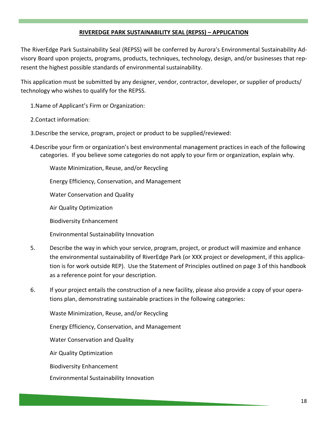## RIVEREDGE PARK SUSTAINABILITY SEAL (REPSS) – APPLICATION

The RiverEdge Park Sustainability Seal (REPSS) will be conferred by Aurora's Environmental Sustainability Advisory Board upon projects, programs, products, techniques, technology, design, and/or businesses that represent the highest possible standards of environmental sustainability.

This application must be submitted by any designer, vendor, contractor, developer, or supplier of products/ technology who wishes to qualify for the REPSS.

- 1.Name of Applicant's Firm or Organization:
- 2.Contact information:
- 3.Describe the service, program, project or product to be supplied/reviewed:
- 4.Describe your firm or organization's best environmental management practices in each of the following categories. If you believe some categories do not apply to your firm or organization, explain why.

Waste Minimization, Reuse, and/or Recycling

Energy Efficiency, Conservation, and Management

Water Conservation and Quality

Air Quality Optimization

Biodiversity Enhancement

Environmental Sustainability Innovation

- 5. Describe the way in which your service, program, project, or product will maximize and enhance the environmental sustainability of RiverEdge Park (or XXX project or development, if this application is for work outside REP). Use the Statement of Principles outlined on page 3 of this handbook as a reference point for your description.
- 6. If your project entails the construction of a new facility, please also provide a copy of your operations plan, demonstrating sustainable practices in the following categories:

Waste Minimization, Reuse, and/or Recycling

Energy Efficiency, Conservation, and Management

Water Conservation and Quality

Air Quality Optimization

Biodiversity Enhancement

Environmental Sustainability Innovation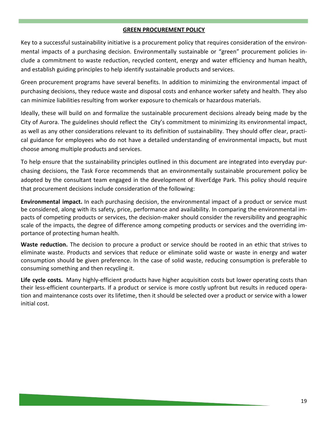## GREEN PROCUREMENT POLICY

Key to a successful sustainability initiative is a procurement policy that requires consideration of the environmental impacts of a purchasing decision. Environmentally sustainable or "green" procurement policies include a commitment to waste reduction, recycled content, energy and water efficiency and human health, and establish guiding principles to help identify sustainable products and services.

Green procurement programs have several benefits. In addition to minimizing the environmental impact of purchasing decisions, they reduce waste and disposal costs and enhance worker safety and health. They also can minimize liabilities resulting from worker exposure to chemicals or hazardous materials.

Ideally, these will build on and formalize the sustainable procurement decisions already being made by the City of Aurora. The guidelines should reflect the City's commitment to minimizing its environmental impact, as well as any other considerations relevant to its definition of sustainability. They should offer clear, practical guidance for employees who do not have a detailed understanding of environmental impacts, but must choose among multiple products and services.

To help ensure that the sustainability principles outlined in this document are integrated into everyday purchasing decisions, the Task Force recommends that an environmentally sustainable procurement policy be adopted by the consultant team engaged in the development of RiverEdge Park. This policy should require that procurement decisions include consideration of the following:

Environmental impact. In each purchasing decision, the environmental impact of a product or service must be considered, along with its safety, price, performance and availability. In comparing the environmental impacts of competing products or services, the decision-maker should consider the reversibility and geographic scale of the impacts, the degree of difference among competing products or services and the overriding importance of protecting human health.

Waste reduction. The decision to procure a product or service should be rooted in an ethic that strives to eliminate waste. Products and services that reduce or eliminate solid waste or waste in energy and water consumption should be given preference. In the case of solid waste, reducing consumption is preferable to consuming something and then recycling it.

Life cycle costs. Many highly-efficient products have higher acquisition costs but lower operating costs than their less-efficient counterparts. If a product or service is more costly upfront but results in reduced operation and maintenance costs over its lifetime, then it should be selected over a product or service with a lower initial cost.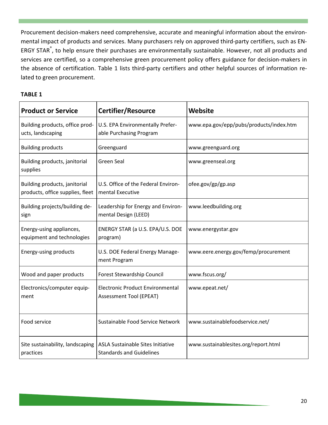Procurement decision-makers need comprehensive, accurate and meaningful information about the environmental impact of products and services. Many purchasers rely on approved third-party certifiers, such as EN-ERGY STAR®, to help ensure their purchases are environmentally sustainable. However, not all products and services are certified, so a comprehensive green procurement policy offers guidance for decision-makers in the absence of certification. Table 1 lists third-party certifiers and other helpful sources of information related to green procurement.

## TABLE 1

| <b>Product or Service</b>                                         | Certifier/Resource                                                        | Website                                 |
|-------------------------------------------------------------------|---------------------------------------------------------------------------|-----------------------------------------|
| Building products, office prod-<br>ucts, landscaping              | U.S. EPA Environmentally Prefer-<br>able Purchasing Program               | www.epa.gov/epp/pubs/products/index.htm |
| <b>Building products</b>                                          | Greenguard                                                                | www.greenguard.org                      |
| Building products, janitorial<br>supplies                         | <b>Green Seal</b>                                                         | www.greenseal.org                       |
| Building products, janitorial<br>products, office supplies, fleet | U.S. Office of the Federal Environ-<br>mental Executive                   | ofee.gov/gp/gp.asp                      |
| Building projects/building de-<br>sign                            | Leadership for Energy and Environ-<br>mental Design (LEED)                | www.leedbuilding.org                    |
| Energy-using appliances,<br>equipment and technologies            | ENERGY STAR (a U.S. EPA/U.S. DOE<br>program)                              | www.energystar.gov                      |
| Energy-using products                                             | U.S. DOE Federal Energy Manage-<br>ment Program                           | www.eere.energy.gov/femp/procurement    |
| Wood and paper products                                           | Forest Stewardship Council                                                | www.fscus.org/                          |
| Electronics/computer equip-<br>ment                               | <b>Electronic Product Environmental</b><br><b>Assessment Tool (EPEAT)</b> | www.epeat.net/                          |
| Food service                                                      | Sustainable Food Service Network                                          | www.sustainablefoodservice.net/         |
| Site sustainability, landscaping<br>practices                     | ASLA Sustainable Sites Initiative<br><b>Standards and Guidelines</b>      | www.sustainablesites.org/report.html    |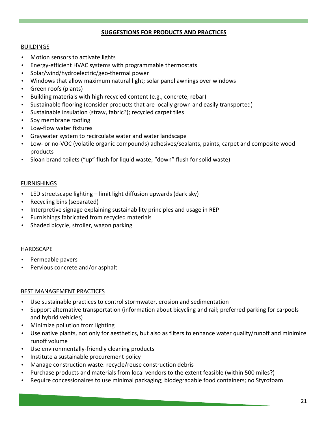## SUGGESTIONS FOR PRODUCTS AND PRACTICES

## **BUILDINGS**

- Motion sensors to activate lights
- Energy-efficient HVAC systems with programmable thermostats
- Solar/wind/hydroelectric/geo-thermal power
- Windows that allow maximum natural light; solar panel awnings over windows
- Green roofs (plants)
- Building materials with high recycled content (e.g., concrete, rebar)
- Sustainable flooring (consider products that are locally grown and easily transported)
- Sustainable insulation (straw, fabric?); recycled carpet tiles
- Soy membrane roofing
- Low-flow water fixtures
- Graywater system to recirculate water and water landscape
- Low- or no-VOC (volatile organic compounds) adhesives/sealants, paints, carpet and composite wood products
- Sloan brand toilets ("up" flush for liquid waste; "down" flush for solid waste)

## **FURNISHINGS**

- LED streetscape lighting limit light diffusion upwards (dark sky)
- Recycling bins (separated)
- Interpretive signage explaining sustainability principles and usage in REP
- Furnishings fabricated from recycled materials
- Shaded bicycle, stroller, wagon parking

## **HARDSCAPE**

- Permeable pavers
- Pervious concrete and/or asphalt

## BEST MANAGEMENT PRACTICES

- Use sustainable practices to control stormwater, erosion and sedimentation
- Support alternative transportation (information about bicycling and rail; preferred parking for carpools and hybrid vehicles)
- Minimize pollution from lighting
- Use native plants, not only for aesthetics, but also as filters to enhance water quality/runoff and minimize runoff volume
- Use environmentally-friendly cleaning products
- Institute a sustainable procurement policy
- Manage construction waste: recycle/reuse construction debris
- Purchase products and materials from local vendors to the extent feasible (within 500 miles?)
- Require concessionaires to use minimal packaging; biodegradable food containers; no Styrofoam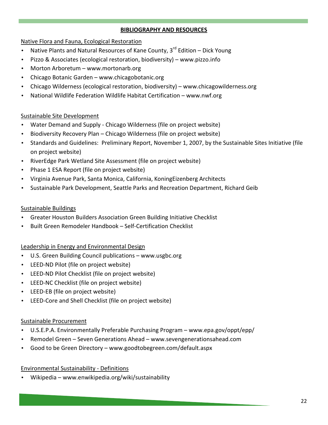## BIBLIOGRAPHY AND RESOURCES

## Native Flora and Fauna, Ecological Restoration

- Native Plants and Natural Resources of Kane County, 3<sup>rd</sup> Edition Dick Young
- Pizzo & Associates (ecological restoration, biodiversity) www.pizzo.info
- Morton Arboretum www.mortonarb.org
- Chicago Botanic Garden www.chicagobotanic.org
- Chicago Wilderness (ecological restoration, biodiversity) www.chicagowilderness.org
- National Wildlife Federation Wildlife Habitat Certification www.nwf.org

## Sustainable Site Development

- Water Demand and Supply Chicago Wilderness (file on project website)
- Biodiversity Recovery Plan Chicago Wilderness (file on project website)
- Standards and Guidelines: Preliminary Report, November 1, 2007, by the Sustainable Sites Initiative (file on project website)
- RiverEdge Park Wetland Site Assessment (file on project website)
- Phase 1 ESA Report (file on project website)
- Virginia Avenue Park, Santa Monica, California, KoningEizenberg Architects
- Sustainable Park Development, Seattle Parks and Recreation Department, Richard Geib

## Sustainable Buildings

- Greater Houston Builders Association Green Building Initiative Checklist
- Built Green Remodeler Handbook Self-Certification Checklist

## Leadership in Energy and Environmental Design

- U.S. Green Building Council publications www.usgbc.org
- LEED-ND Pilot (file on project website)
- LEED-ND Pilot Checklist (file on project website)
- LEED-NC Checklist (file on project website)
- LEED-EB (file on project website)
- LEED-Core and Shell Checklist (file on project website)

## Sustainable Procurement

- U.S.E.P.A. Environmentally Preferable Purchasing Program www.epa.gov/oppt/epp/
- Remodel Green Seven Generations Ahead www.sevengenerationsahead.com
- Good to be Green Directory www.goodtobegreen.com/default.aspx

## Environmental Sustainability - Definitions

• Wikipedia – www.enwikipedia.org/wiki/sustainability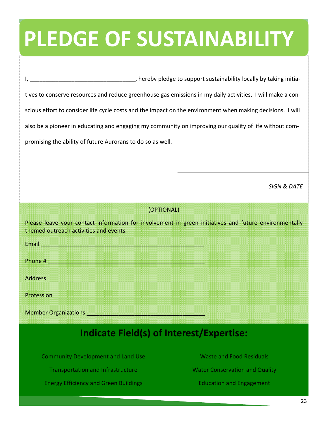# PLEDGE OF SUSTAINABILITY

I, \_\_\_\_\_\_\_\_\_\_\_\_\_\_\_\_\_\_\_\_\_\_\_\_\_\_\_\_\_\_\_\_, hereby pledge to support sustainability locally by taking initiatives to conserve resources and reduce greenhouse gas emissions in my daily activities. I will make a conscious effort to consider life cycle costs and the impact on the environment when making decisions. I will also be a pioneer in educating and engaging my community on improving our quality of life without compromising the ability of future Aurorans to do so as well.

SIGN & DATE

## (OPTIONAL)

Please leave your contact information for involvement in green initiatives and future environmentally themed outreach activities and events.

Email \_\_\_\_\_\_\_\_\_\_\_\_\_\_\_\_\_\_\_\_\_\_\_\_\_\_\_\_\_\_\_\_\_\_\_\_\_\_\_\_\_\_\_\_\_\_\_\_\_\_\_ Phone # \_\_\_\_\_\_\_\_\_\_\_\_\_\_\_\_\_\_\_\_\_\_\_\_\_\_\_\_\_\_\_\_\_\_\_\_\_\_\_\_\_\_\_\_\_\_\_\_\_ Address \_\_\_\_\_\_\_\_\_\_\_\_\_\_\_\_\_\_\_\_\_\_\_\_\_\_\_\_\_\_\_\_\_\_\_\_\_\_\_\_\_\_\_\_\_\_\_\_\_ Profession **Executive Contract and Contract and Contract and Contract and Contract and Contract and Contract and Contract and Contract and Contract and Contract and Contract and Contract and Contract and Contract and Contr** 

Member Organizations \_\_\_\_\_\_\_\_\_\_\_\_\_\_\_\_\_\_\_\_\_\_\_\_\_\_\_\_\_\_\_\_\_\_\_\_\_

## Indicate Field(s) of Interest/Expertise:

Community Development and Land Use

Transportation and Infrastructure

Energy Efficiency and Green Buildings

Waste and Food Residuals Water Conservation and Quality Education and Engagement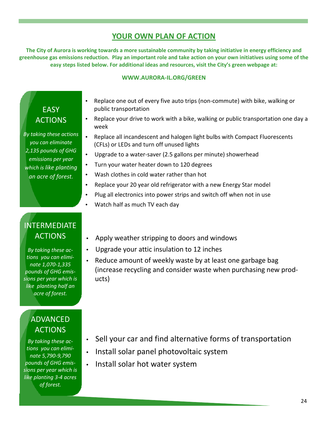## YOUR OWN PLAN OF ACTION

The City of Aurora is working towards a more sustainable community by taking initiative in energy efficiency and greenhouse gas emissions reduction. Play an important role and take action on your own initiatives using some of the easy steps listed below. For additional ideas and resources, visit the City's green webpage at:

#### WWW.AURORA-IL.ORG/GREEN

## **EASY** ACTIONS

By taking these actions you can eliminate 2,135 pounds of GHG emissions per year which is like planting an acre of forest.

- Replace one out of every five auto trips (non-commute) with bike, walking or public transportation
- Replace your drive to work with a bike, walking or public transportation one day a week
- Replace all incandescent and halogen light bulbs with Compact Fluorescents (CFLs) or LEDs and turn off unused lights
- Upgrade to a water-saver (2.5 gallons per minute) showerhead
- Turn your water heater down to 120 degrees
- Wash clothes in cold water rather than hot
- Replace your 20 year old refrigerator with a new Energy Star model
- Plug all electronics into power strips and switch off when not in use
- Watch half as much TV each day

## INTERMEDIATE ACTIONS

By taking these actions you can eliminate 1,070-1,335 pounds of GHG emissions per year which is like planting half an acre of forest.

## ADVANCED ACTIONS

By taking these actions you can eliminate 5,790-9,790 pounds of GHG emissions per year which is like planting 3-4 acres of forest.

- Apply weather stripping to doors and windows
- Upgrade your attic insulation to 12 inches
- Reduce amount of weekly waste by at least one garbage bag (increase recycling and consider waste when purchasing new products)

- Sell your car and find alternative forms of transportation
- Install solar panel photovoltaic system
- Install solar hot water system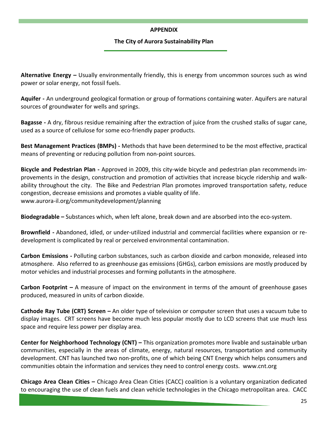## APPENDIX

## The City of Aurora Sustainability Plan

Alternative Energy – Usually environmentally friendly, this is energy from uncommon sources such as wind power or solar energy, not fossil fuels.

Aquifer - An underground geological formation or group of formations containing water. Aquifers are natural sources of groundwater for wells and springs.

Bagasse - A dry, fibrous residue remaining after the extraction of juice from the crushed stalks of sugar cane, used as a source of cellulose for some eco-friendly paper products.

Best Management Practices (BMPs) - Methods that have been determined to be the most effective, practical means of preventing or reducing pollution from non-point sources.

Bicycle and Pedestrian Plan - Approved in 2009, this city-wide bicycle and pedestrian plan recommends improvements in the design, construction and promotion of activities that increase bicycle ridership and walkability throughout the city. The Bike and Pedestrian Plan promotes improved transportation safety, reduce congestion, decrease emissions and promotes a viable quality of life. www.aurora-il.org/communitydevelopment/planning

Biodegradable – Substances which, when left alone, break down and are absorbed into the eco-system.

Brownfield - Abandoned, idled, or under-utilized industrial and commercial facilities where expansion or redevelopment is complicated by real or perceived environmental contamination.

Carbon Emissions - Polluting carbon substances, such as carbon dioxide and carbon monoxide, released into atmosphere. Also referred to as greenhouse gas emissions (GHGs), carbon emissions are mostly produced by motor vehicles and industrial processes and forming pollutants in the atmosphere.

**Carbon Footprint** – A measure of impact on the environment in terms of the amount of greenhouse gases produced, measured in units of carbon dioxide.

Cathode Ray Tube (CRT) Screen – An older type of television or computer screen that uses a vacuum tube to display images. CRT screens have become much less popular mostly due to LCD screens that use much less space and require less power per display area.

Center for Neighborhood Technology (CNT) – This organization promotes more livable and sustainable urban communities, especially in the areas of climate, energy, natural resources, transportation and community development. CNT has launched two non-profits, one of which being CNT Energy which helps consumers and communities obtain the information and services they need to control energy costs. www.cnt.org

Chicago Area Clean Cities – Chicago Area Clean Cities (CACC) coalition is a voluntary organization dedicated to encouraging the use of clean fuels and clean vehicle technologies in the Chicago metropolitan area. CACC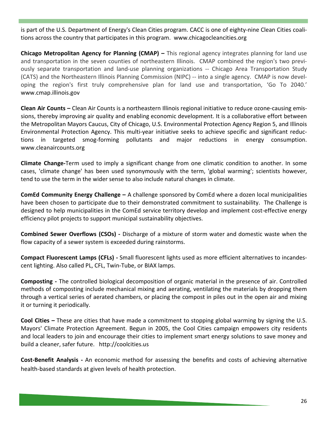is part of the U.S. Department of Energy's Clean Cities program. CACC is one of eighty-nine Clean Cities coalitions across the country that participates in this program. www.chicagocleancities.org

Chicago Metropolitan Agency for Planning (CMAP) – This regional agency integrates planning for land use and transportation in the seven counties of northeastern Illinois. CMAP combined the region's two previously separate transportation and land-use planning organizations -- Chicago Area Transportation Study (CATS) and the Northeastern Illinois Planning Commission (NIPC) -- into a single agency. CMAP is now developing the region's first truly comprehensive plan for land use and transportation, 'Go To 2040.' www.cmap.illinois.gov

Clean Air Counts – Clean Air Counts is a northeastern Illinois regional initiative to reduce ozone-causing emissions, thereby improving air quality and enabling economic development. It is a collaborative effort between the Metropolitan Mayors Caucus, City of Chicago, U.S. Environmental Protection Agency Region 5, and Illinois Environmental Protection Agency. This multi-year initiative seeks to achieve specific and significant reductions in targeted smog-forming pollutants and major reductions in energy consumption. www.cleanaircounts.org

Climate Change-Term used to imply a significant change from one climatic condition to another. In some cases, 'climate change' has been used synonymously with the term, 'global warming'; scientists however, tend to use the term in the wider sense to also include natural changes in climate.

ComEd Community Energy Challenge - A challenge sponsored by ComEd where a dozen local municipalities have been chosen to participate due to their demonstrated commitment to sustainability. The Challenge is designed to help municipalities in the ComEd service territory develop and implement cost-effective energy efficiency pilot projects to support municipal sustainability objectives.

Combined Sewer Overflows (CSOs) - Discharge of a mixture of storm water and domestic waste when the flow capacity of a sewer system is exceeded during rainstorms.

Compact Fluorescent Lamps (CFLs) - Small fluorescent lights used as more efficient alternatives to incandescent lighting. Also called PL, CFL, Twin-Tube, or BIAX lamps.

Composting - The controlled biological decomposition of organic material in the presence of air. Controlled methods of composting include mechanical mixing and aerating, ventilating the materials by dropping them through a vertical series of aerated chambers, or placing the compost in piles out in the open air and mixing it or turning it periodically.

Cool Cities – These are cities that have made a commitment to stopping global warming by signing the U.S. Mayors' Climate Protection Agreement. Begun in 2005, the Cool Cities campaign empowers city residents and local leaders to join and encourage their cities to implement smart energy solutions to save money and build a cleaner, safer future. http://coolcities.us

Cost-Benefit Analysis - An economic method for assessing the benefits and costs of achieving alternative health-based standards at given levels of health protection.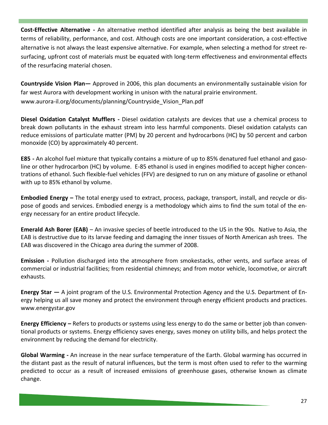Cost-Effective Alternative - An alternative method identified after analysis as being the best available in terms of reliability, performance, and cost. Although costs are one important consideration, a cost-effective alternative is not always the least expensive alternative. For example, when selecting a method for street resurfacing, upfront cost of materials must be equated with long-term effectiveness and environmental effects of the resurfacing material chosen.

Countryside Vision Plan— Approved in 2006, this plan documents an environmentally sustainable vision for far west Aurora with development working in unison with the natural prairie environment. www.aurora-il.org/documents/planning/Countryside\_Vision\_Plan.pdf

Diesel Oxidation Catalyst Mufflers - Diesel oxidation catalysts are devices that use a chemical process to break down pollutants in the exhaust stream into less harmful components. Diesel oxidation catalysts can reduce emissions of particulate matter (PM) by 20 percent and hydrocarbons (HC) by 50 percent and carbon monoxide (CO) by approximately 40 percent.

E85 - An alcohol fuel mixture that typically contains a mixture of up to 85% denatured fuel ethanol and gasoline or other hydrocarbon (HC) by volume. E-85 ethanol is used in engines modified to accept higher concentrations of ethanol. Such flexible-fuel vehicles (FFV) are designed to run on any mixture of gasoline or ethanol with up to 85% ethanol by volume.

Embodied Energy – The total energy used to extract, process, package, transport, install, and recycle or dispose of goods and services. Embodied energy is a methodology which aims to find the sum total of the energy necessary for an entire product lifecycle.

Emerald Ash Borer (EAB) – An invasive species of beetle introduced to the US in the 90s. Native to Asia, the EAB is destructive due to its larvae feeding and damaging the inner tissues of North American ash trees. The EAB was discovered in the Chicago area during the summer of 2008.

Emission - Pollution discharged into the atmosphere from smokestacks, other vents, and surface areas of commercial or industrial facilities; from residential chimneys; and from motor vehicle, locomotive, or aircraft exhausts.

Energy Star  $-$  A joint program of the U.S. Environmental Protection Agency and the U.S. Department of Energy helping us all save money and protect the environment through energy efficient products and practices. www.energystar.gov

Energy Efficiency – Refers to products or systems using less energy to do the same or better job than conventional products or systems. Energy efficiency saves energy, saves money on utility bills, and helps protect the environment by reducing the demand for electricity.

Global Warming - An increase in the near surface temperature of the Earth. Global warming has occurred in the distant past as the result of natural influences, but the term is most often used to refer to the warming predicted to occur as a result of increased emissions of greenhouse gases, otherwise known as climate change.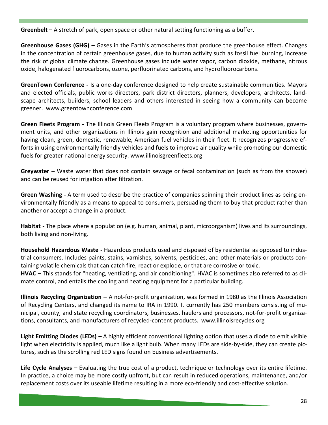Greenbelt  $-$  A stretch of park, open space or other natural setting functioning as a buffer.

Greenhouse Gases (GHG) – Gases in the Earth's atmospheres that produce the greenhouse effect. Changes in the concentration of certain greenhouse gases, due to human activity such as fossil fuel burning, increase the risk of global climate change. Greenhouse gases include water vapor, carbon dioxide, methane, nitrous oxide, halogenated fluorocarbons, ozone, perfluorinated carbons, and hydrofluorocarbons.

GreenTown Conference - Is a one-day conference designed to help create sustainable communities. Mayors and elected officials, public works directors, park district directors, planners, developers, architects, landscape architects, builders, school leaders and others interested in seeing how a community can become greener. www.greentownconference.com

Green Fleets Program - The Illinois Green Fleets Program is a voluntary program where businesses, government units, and other organizations in Illinois gain recognition and additional marketing opportunities for having clean, green, domestic, renewable, American fuel vehicles in their fleet. It recognizes progressive efforts in using environmentally friendly vehicles and fuels to improve air quality while promoting our domestic fuels for greater national energy security. www.illinoisgreenfleets.org

Greywater – Waste water that does not contain sewage or fecal contamination (such as from the shower) and can be reused for irrigation after filtration.

Green Washing - A term used to describe the practice of companies spinning their product lines as being environmentally friendly as a means to appeal to consumers, persuading them to buy that product rather than another or accept a change in a product.

Habitat - The place where a population (e.g. human, animal, plant, microorganism) lives and its surroundings, both living and non-living.

Household Hazardous Waste - Hazardous products used and disposed of by residential as opposed to industrial consumers. Includes paints, stains, varnishes, solvents, pesticides, and other materials or products containing volatile chemicals that can catch fire, react or explode, or that are corrosive or toxic. HVAC – This stands for "heating, ventilating, and air conditioning". HVAC is sometimes also referred to as climate control, and entails the cooling and heating equipment for a particular building.

Illinois Recycling Organization – A not-for-profit organization, was formed in 1980 as the Illinois Association of Recycling Centers, and changed its name to IRA in 1990. It currently has 250 members consisting of municipal, county, and state recycling coordinators, businesses, haulers and processors, not-for-profit organizations, consultants, and manufacturers of recycled-content products. www.illinoisrecycles.org

Light Emitting Diodes (LEDs) – A highly efficient conventional lighting option that uses a diode to emit visible light when electricity is applied, much like a light bulb. When many LEDs are side-by-side, they can create pictures, such as the scrolling red LED signs found on business advertisements.

Life Cycle Analyses – Evaluating the true cost of a product, technique or technology over its entire lifetime. In practice, a choice may be more costly upfront, but can result in reduced operations, maintenance, and/or replacement costs over its useable lifetime resulting in a more eco-friendly and cost-effective solution.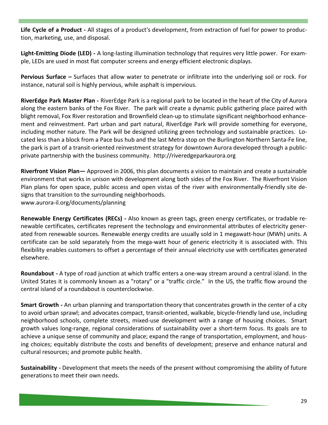Life Cycle of a Product - All stages of a product's development, from extraction of fuel for power to production, marketing, use, and disposal.

Light-Emitting Diode (LED) - A long-lasting illumination technology that requires very little power. For example, LEDs are used in most flat computer screens and energy efficient electronic displays.

Pervious Surface - Surfaces that allow water to penetrate or infiltrate into the underlying soil or rock. For instance, natural soil is highly pervious, while asphalt is impervious.

RiverEdge Park Master Plan - RiverEdge Park is a regional park to be located in the heart of the City of Aurora along the eastern banks of the Fox River. The park will create a dynamic public gathering place paired with blight removal, Fox River restoration and Brownfield clean-up to stimulate significant neighborhood enhancement and reinvestment. Part urban and part natural, RiverEdge Park will provide something for everyone, including mother nature. The Park will be designed utilizing green technology and sustainable practices. Located less than a block from a Pace bus hub and the last Metra stop on the Burlington Northern Santa-Fe line, the park is part of a transit-oriented reinvestment strategy for downtown Aurora developed through a publicprivate partnership with the business community. http://riveredgeparkaurora.org

Riverfront Vision Plan— Approved in 2006, this plan documents a vision to maintain and create a sustainable environment that works in unison with development along both sides of the Fox River. The Riverfront Vision Plan plans for open space, public access and open vistas of the river with environmentally-friendly site designs that transition to the surrounding neighborhoods.

www.aurora-il.org/documents/planning

Renewable Energy Certificates (RECs) - Also known as green tags, green energy certificates, or tradable renewable certificates, certificates represent the technology and environmental attributes of electricity generated from renewable sources. Renewable energy credits are usually sold in 1 megawatt-hour (MWh) units. A certificate can be sold separately from the mega-watt hour of generic electricity it is associated with. This flexibility enables customers to offset a percentage of their annual electricity use with certificates generated elsewhere.

Roundabout - A type of road junction at which traffic enters a one-way stream around a central island. In the United States it is commonly known as a "rotary" or a "traffic circle." In the US, the traffic flow around the central island of a roundabout is counterclockwise.

Smart Growth - An urban planning and transportation theory that concentrates growth in the center of a city to avoid urban sprawl; and advocates compact, transit-oriented, walkable, bicycle-friendly land use, including neighborhood schools, complete streets, mixed-use development with a range of housing choices. Smart growth values long-range, regional considerations of sustainability over a short-term focus. Its goals are to achieve a unique sense of community and place; expand the range of transportation, employment, and housing choices; equitably distribute the costs and benefits of development; preserve and enhance natural and cultural resources; and promote public health.

Sustainability - Development that meets the needs of the present without compromising the ability of future generations to meet their own needs.